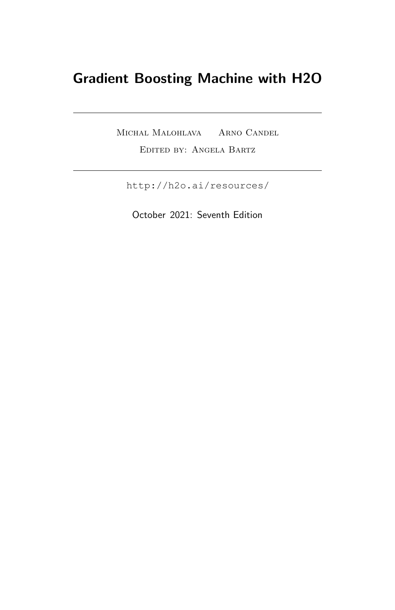## Gradient Boosting Machine with H2O

Michal Malohlava Arno Candel Edited by: Angela Bartz

<http://h2o.ai/resources/>

October 2021: Seventh Edition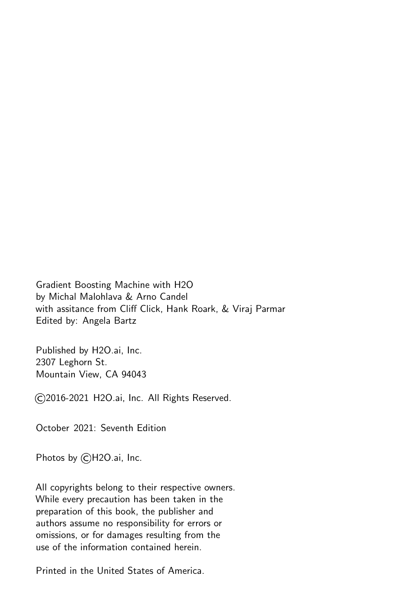Gradient Boosting Machine with H2O by Michal Malohlava & Arno Candel with assitance from Cliff Click, Hank Roark, & Viraj Parmar Edited by: Angela Bartz

Published by H2O.ai, Inc. 2307 Leghorn St. Mountain View, CA 94043

©2016-2021 H2O.ai, Inc. All Rights Reserved.

October 2021: Seventh Edition

Photos by ©H2O.ai, Inc.

All copyrights belong to their respective owners. While every precaution has been taken in the preparation of this book, the publisher and authors assume no responsibility for errors or omissions, or for damages resulting from the use of the information contained herein.

Printed in the United States of America.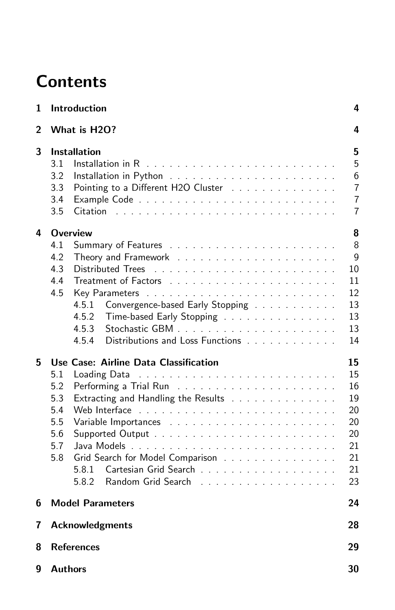# **Contents**

| 1 | Introduction                                                                                                                                                                                                                                                | 4                                                                 |
|---|-------------------------------------------------------------------------------------------------------------------------------------------------------------------------------------------------------------------------------------------------------------|-------------------------------------------------------------------|
| 2 | What is H2O?                                                                                                                                                                                                                                                | 4                                                                 |
| 3 | <b>Installation</b><br>3.1<br>3.2<br>3.3<br>Pointing to a Different H2O Cluster<br>3.4<br>3.5<br>Citation                                                                                                                                                   | 5<br>5<br>6<br>$\overline{7}$<br>$\overline{7}$<br>$\overline{7}$ |
| 4 | <b>Overview</b><br>4.1<br>4.2<br>4.3<br>Distributed Trees<br>4.4<br>4.5<br>Convergence-based Early Stopping<br>4.5.1<br>4.5.2<br>Time-based Early Stopping<br>4.5.3<br>Distributions and Loss Functions<br>4.5.4                                            | 8<br>8<br>g<br>10<br>11<br>12<br>13<br>13<br>13<br>14             |
| 5 | Use Case: Airline Data Classification<br>5.1<br>Loading Data<br>5.2<br>5.3<br>Extracting and Handling the Results<br>5.4<br>5.5<br>Variable Importances<br>5.6<br>5.7<br>5.8<br>Grid Search for Model Comparison<br>Cartesian Grid Search<br>5.8.1<br>5.8.2 | 15<br>15<br>16<br>19<br>20<br>20<br>20<br>21<br>21<br>21<br>23    |
| 6 | <b>Model Parameters</b>                                                                                                                                                                                                                                     | 24                                                                |
| 7 | <b>Acknowledgments</b>                                                                                                                                                                                                                                      | 28                                                                |
| 8 | <b>References</b>                                                                                                                                                                                                                                           | 29                                                                |
| 9 | <b>Authors</b>                                                                                                                                                                                                                                              | 30                                                                |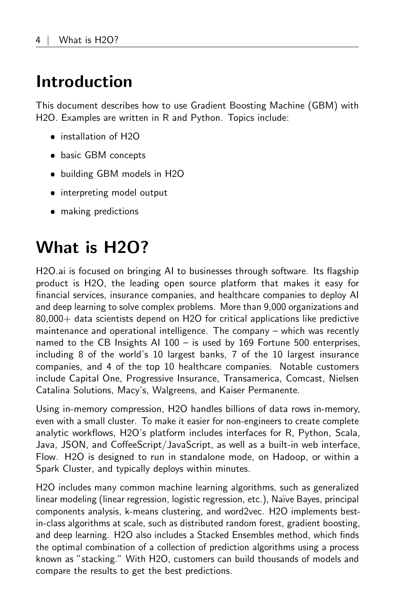# <span id="page-3-0"></span>Introduction

This document describes how to use Gradient Boosting Machine (GBM) with H2O. Examples are written in R and Python. Topics include:

- installation of H2O
- basic GBM concepts
- building GBM models in H2O
- interpreting model output
- <span id="page-3-1"></span>making predictions

# What is H2O?

H2O.ai is focused on bringing AI to businesses through software. Its flagship product is H2O, the leading open source platform that makes it easy for financial services, insurance companies, and healthcare companies to deploy AI and deep learning to solve complex problems. More than 9,000 organizations and 80,000+ data scientists depend on H2O for critical applications like predictive maintenance and operational intelligence. The company – which was recently named to the CB Insights AI 100 – is used by 169 Fortune 500 enterprises, including 8 of the world's 10 largest banks, 7 of the 10 largest insurance companies, and 4 of the top 10 healthcare companies. Notable customers include Capital One, Progressive Insurance, Transamerica, Comcast, Nielsen Catalina Solutions, Macy's, Walgreens, and Kaiser Permanente.

Using in-memory compression, H2O handles billions of data rows in-memory, even with a small cluster. To make it easier for non-engineers to create complete analytic workflows, H2O's platform includes interfaces for R, Python, Scala, Java, JSON, and CoffeeScript/JavaScript, as well as a built-in web interface, Flow. H2O is designed to run in standalone mode, on Hadoop, or within a Spark Cluster, and typically deploys within minutes.

H2O includes many common machine learning algorithms, such as generalized linear modeling (linear regression, logistic regression, etc.), Na¨ıve Bayes, principal components analysis, k-means clustering, and word2vec. H2O implements bestin-class algorithms at scale, such as distributed random forest, gradient boosting, and deep learning. H2O also includes a Stacked Ensembles method, which finds the optimal combination of a collection of prediction algorithms using a process known as "stacking." With H2O, customers can build thousands of models and compare the results to get the best predictions.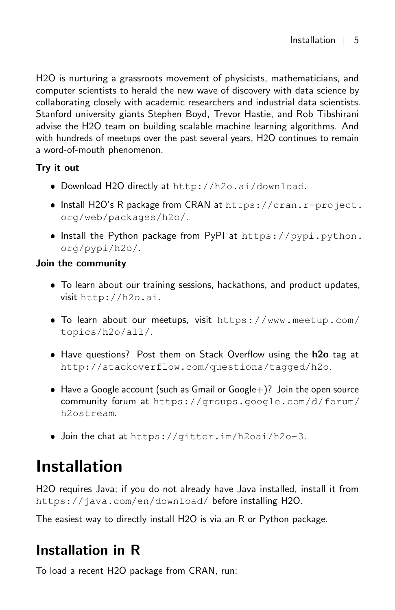H2O is nurturing a grassroots movement of physicists, mathematicians, and computer scientists to herald the new wave of discovery with data science by collaborating closely with academic researchers and industrial data scientists. Stanford university giants Stephen Boyd, Trevor Hastie, and Rob Tibshirani advise the H2O team on building scalable machine learning algorithms. And with hundreds of meetups over the past several years, H2O continues to remain a word-of-mouth phenomenon.

#### Try it out

- Download H2O directly at <http://h2o.ai/download>.
- $\bullet$  Install H2O's R package from CRAN at [https://cran.r-project.](https://cran.r-project.org/web/packages/h2o/) [org/web/packages/h2o/](https://cran.r-project.org/web/packages/h2o/).
- Install the Python package from PyPI at [https://pypi.python.](https://pypi.python.org/pypi/h2o/) [org/pypi/h2o/](https://pypi.python.org/pypi/h2o/).

#### Join the community

- To learn about our training sessions, hackathons, and product updates, visit <http://h2o.ai>.
- To learn about our meetups, visit [https://www.meetup.com/](https://www.meetup.com/topics/h2o/all/) [topics/h2o/all/](https://www.meetup.com/topics/h2o/all/).
- Have questions? Post them on Stack Overflow using the h2o tag at <http://stackoverflow.com/questions/tagged/h2o>.
- $\bullet$  Have a Google account (such as Gmail or Google +)? Join the open source community forum at [https://groups.google.com/d/forum/](https://groups.google.com/d/forum/h2ostream) [h2ostream](https://groups.google.com/d/forum/h2ostream).
- Join the chat at <https://gitter.im/h2oai/h2o-3>.

# <span id="page-4-0"></span>Installation

H2O requires Java; if you do not already have Java installed, install it from <https://java.com/en/download/> before installing H2O.

<span id="page-4-1"></span>The easiest way to directly install H2O is via an R or Python package.

## Installation in R

To load a recent H2O package from CRAN, run: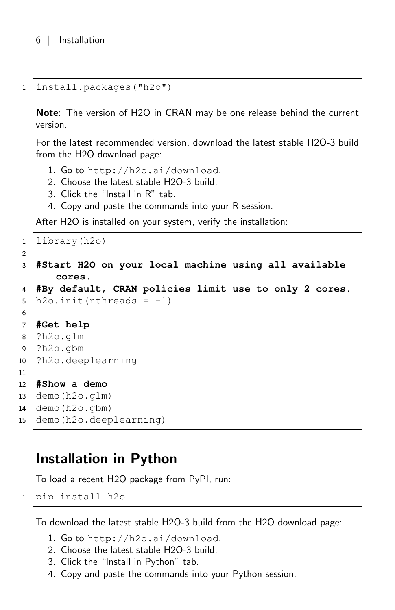1 install.packages("h2o")

Note: The version of H2O in CRAN may be one release behind the current version.

For the latest recommended version, download the latest stable H2O-3 build from the H2O download page:

- 1. Go to <http://h2o.ai/download>.
- 2. Choose the latest stable H2O-3 build.
- 3. Click the "Install in R" tab.
- 4. Copy and paste the commands into your R session.

After H2O is installed on your system, verify the installation:

```
1 library(h2o)
2
3 #Start H2O on your local machine using all available
      cores.
4 #By default, CRAN policies limit use to only 2 cores.
5 \ln 20. init (nthreads = -1)
6
7 #Get help
8 ?h2o.glm
9 ?h2o.gbm
10 ?h2o.deeplearning
11
12 #Show a demo
13 demo(h2o.qlm)14 demo(h2o.gbm)15 demo(h2o.deeplearning)
```
### <span id="page-5-0"></span>Installation in Python

To load a recent H2O package from PyPI, run:

```
1 pip install h2o
```
To download the latest stable H2O-3 build from the H2O download page:

- 1. Go to <http://h2o.ai/download>.
- 2. Choose the latest stable H2O-3 build.
- 3. Click the "Install in Python" tab.
- 4. Copy and paste the commands into your Python session.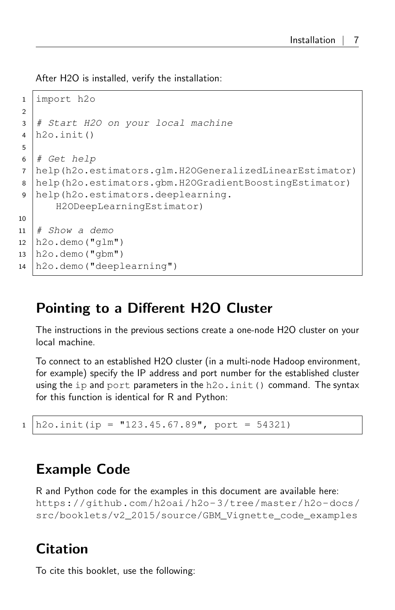After H2O is installed, verify the installation:

```
1 import h2o
2
3 # Start H2O on your local machine
4 h2o.init()
5
6 \# Get help
7 help(h2o.estimators.glm.H2OGeneralizedLinearEstimator)
8 help(h2o.estimators.gbm.H2OGradientBoostingEstimator)
9 help(h2o.estimators.deeplearning.
      H2ODeepLearningEstimator)
10
11 \mid # Show a demo
12 \mid h2o.demo("glm")
13 | h2o.demo("gbm")
14 h2o.demo("deeplearning")
```
## <span id="page-6-0"></span>Pointing to a Different H2O Cluster

The instructions in the previous sections create a one-node H2O cluster on your local machine.

To connect to an established H2O cluster (in a multi-node Hadoop environment, for example) specify the IP address and port number for the established cluster using the ip and port parameters in the  $h2o$ . init () command. The syntax for this function is identical for R and Python:

```
1 \vert h2o.init(ip = "123.45.67.89", port = 54321)
```
## <span id="page-6-1"></span>Example Code

R and Python code for the examples in this document are available here: [https://github.com/h2oai/h2o-3/tree/master/h2o-docs/](https://github.com/h2oai/h2o-3/tree/master/h2o-docs/src/booklets/v2_2015/source/GBM_Vignette_code_examples) [src/booklets/v2\\_2015/source/GBM\\_Vignette\\_code\\_examples](https://github.com/h2oai/h2o-3/tree/master/h2o-docs/src/booklets/v2_2015/source/GBM_Vignette_code_examples)

## <span id="page-6-2"></span>Citation

To cite this booklet, use the following: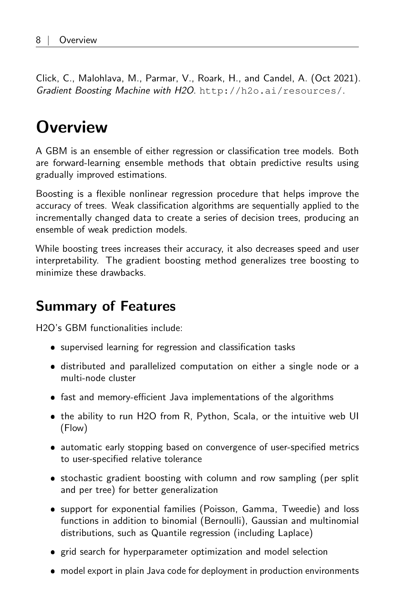<span id="page-7-0"></span>Click, C., Malohlava, M., Parmar, V., Roark, H., and Candel, A. (Oct 2021). Gradient Boosting Machine with H2O. <http://h2o.ai/resources/>.

# **Overview**

A GBM is an ensemble of either regression or classification tree models. Both are forward-learning ensemble methods that obtain predictive results using gradually improved estimations.

Boosting is a flexible nonlinear regression procedure that helps improve the accuracy of trees. Weak classification algorithms are sequentially applied to the incrementally changed data to create a series of decision trees, producing an ensemble of weak prediction models.

While boosting trees increases their accuracy, it also decreases speed and user interpretability. The gradient boosting method generalizes tree boosting to minimize these drawbacks.

### <span id="page-7-1"></span>Summary of Features

H2O's GBM functionalities include:

- supervised learning for regression and classification tasks
- distributed and parallelized computation on either a single node or a multi-node cluster
- fast and memory-efficient Java implementations of the algorithms
- the ability to run H2O from R, Python, Scala, or the intuitive web UI (Flow)
- automatic early stopping based on convergence of user-specified metrics to user-specified relative tolerance
- stochastic gradient boosting with column and row sampling (per split and per tree) for better generalization
- support for exponential families (Poisson, Gamma, Tweedie) and loss functions in addition to binomial (Bernoulli), Gaussian and multinomial distributions, such as Quantile regression (including Laplace)
- grid search for hyperparameter optimization and model selection
- model export in plain Java code for deployment in production environments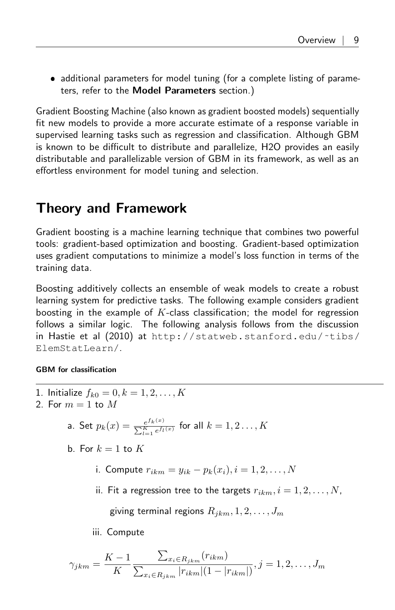• additional parameters for model tuning (for a complete listing of parameters, refer to the [Model Parameters](#page-23-0) section.)

Gradient Boosting Machine (also known as gradient boosted models) sequentially fit new models to provide a more accurate estimate of a response variable in supervised learning tasks such as regression and classification. Although GBM is known to be difficult to distribute and parallelize, H2O provides an easily distributable and parallelizable version of GBM in its framework, as well as an effortless environment for model tuning and selection.

### <span id="page-8-0"></span>Theory and Framework

Gradient boosting is a machine learning technique that combines two powerful tools: gradient-based optimization and boosting. Gradient-based optimization uses gradient computations to minimize a model's loss function in terms of the training data.

Boosting additively collects an ensemble of weak models to create a robust learning system for predictive tasks. The following example considers gradient boosting in the example of  $K$ -class classification; the model for regression follows a similar logic. The following analysis follows from the discussion in Hastie et al (2010) at [http://statweb.stanford.edu/˜tibs/](http://statweb.stanford.edu/~tibs/ElemStatLearn/) [ElemStatLearn/](http://statweb.stanford.edu/~tibs/ElemStatLearn/).

#### GBM for classification

- 1. Initialize  $f_{k0} = 0, k = 1, 2, ..., K$
- 2. For  $m = 1$  to  $M$ 
	- a. Set  $p_k(x) = \frac{e^{f_k(x)}}{\sum_{k=0}^{K} f_k(x)}$  $\frac{e^{j k(x)}}{\sum_{l=1}^{K} e^{f_l(x)}}$  for all  $k = 1, 2 \ldots, K$
	- b. For  $k = 1$  to  $K$ 
		- i. Compute  $r_{ikm} = y_{ik} p_k(x_i), i = 1, 2, ..., N$
		- ii. Fit a regression tree to the targets  $r_{ikm}, i = 1, 2, \ldots, N$ ,

giving terminal regions  $R_{ikm}$ ,  $1, 2, \ldots, J_m$ 

iii. Compute

$$
\gamma_{jkm} = \frac{K-1}{K} \frac{\sum_{x_i \in R_{jkm}} (r_{ikm})}{\sum_{x_i \in R_{jkm}} |r_{ikm}| (1 - |r_{ikm}|)}, j = 1, 2, ..., J_m
$$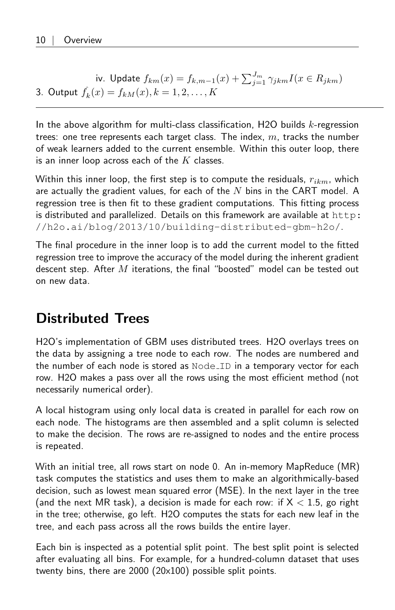iv. Update  $f_{km}(x) = f_{k,m-1}(x) + \sum_{j=1}^{J_m} \gamma_{jkm} I(x \in R_{jkm})$ 3. Output  $f_k(x) = f_{kM}(x), k = 1, 2, ..., K$ 

In the above algorithm for multi-class classification, H2O builds  $k$ -regression trees: one tree represents each target class. The index,  $m$ , tracks the number of weak learners added to the current ensemble. Within this outer loop, there is an inner loop across each of the  $K$  classes.

Within this inner loop, the first step is to compute the residuals,  $r_{ikm}$ , which are actually the gradient values, for each of the  $N$  bins in the CART model. A regression tree is then fit to these gradient computations. This fitting process is distributed and parallelized. Details on this framework are available at [http:](http://h2o.ai/blog/2013/10/building-distributed-gbm-h2o/) [//h2o.ai/blog/2013/10/building-distributed-gbm-h2o/](http://h2o.ai/blog/2013/10/building-distributed-gbm-h2o/).

The final procedure in the inner loop is to add the current model to the fitted regression tree to improve the accuracy of the model during the inherent gradient descent step. After  $M$  iterations, the final "boosted" model can be tested out on new data.

## <span id="page-9-0"></span>Distributed Trees

H2O's implementation of GBM uses distributed trees. H2O overlays trees on the data by assigning a tree node to each row. The nodes are numbered and the number of each node is stored as Node ID in a temporary vector for each row. H2O makes a pass over all the rows using the most efficient method (not necessarily numerical order).

A local histogram using only local data is created in parallel for each row on each node. The histograms are then assembled and a split column is selected to make the decision. The rows are re-assigned to nodes and the entire process is repeated.

With an initial tree, all rows start on node 0. An in-memory MapReduce (MR) task computes the statistics and uses them to make an algorithmically-based decision, such as lowest mean squared error (MSE). In the next layer in the tree (and the next MR task), a decision is made for each row: if  $X < 1.5$ , go right in the tree; otherwise, go left. H2O computes the stats for each new leaf in the tree, and each pass across all the rows builds the entire layer.

Each bin is inspected as a potential split point. The best split point is selected after evaluating all bins. For example, for a hundred-column dataset that uses twenty bins, there are 2000 (20x100) possible split points.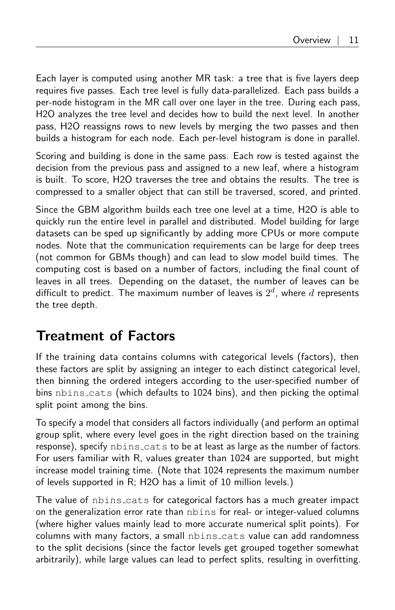Each layer is computed using another MR task: a tree that is five layers deep requires five passes. Each tree level is fully data-parallelized. Each pass builds a per-node histogram in the MR call over one layer in the tree. During each pass, H2O analyzes the tree level and decides how to build the next level. In another pass, H2O reassigns rows to new levels by merging the two passes and then builds a histogram for each node. Each per-level histogram is done in parallel.

Scoring and building is done in the same pass. Each row is tested against the decision from the previous pass and assigned to a new leaf, where a histogram is built. To score, H2O traverses the tree and obtains the results. The tree is compressed to a smaller object that can still be traversed, scored, and printed.

Since the GBM algorithm builds each tree one level at a time, H2O is able to quickly run the entire level in parallel and distributed. Model building for large datasets can be sped up significantly by adding more CPUs or more compute nodes. Note that the communication requirements can be large for deep trees (not common for GBMs though) and can lead to slow model build times. The computing cost is based on a number of factors, including the final count of leaves in all trees. Depending on the dataset, the number of leaves can be difficult to predict. The maximum number of leaves is  $2^d$ , where  $d$  represents the tree depth.

### <span id="page-10-0"></span>Treatment of Factors

If the training data contains columns with categorical levels (factors), then these factors are split by assigning an integer to each distinct categorical level, then binning the ordered integers according to the user-specified number of bins nbins cats (which defaults to 1024 bins), and then picking the optimal split point among the bins.

To specify a model that considers all factors individually (and perform an optimal group split, where every level goes in the right direction based on the training response), specify nbins cats to be at least as large as the number of factors. For users familiar with R, values greater than 1024 are supported, but might increase model training time. (Note that 1024 represents the maximum number of levels supported in R; H2O has a limit of 10 million levels.)

The value of nbins cats for categorical factors has a much greater impact on the generalization error rate than nbins for real- or integer-valued columns (where higher values mainly lead to more accurate numerical split points). For columns with many factors, a small nbins cats value can add randomness to the split decisions (since the factor levels get grouped together somewhat arbitrarily), while large values can lead to perfect splits, resulting in overfitting.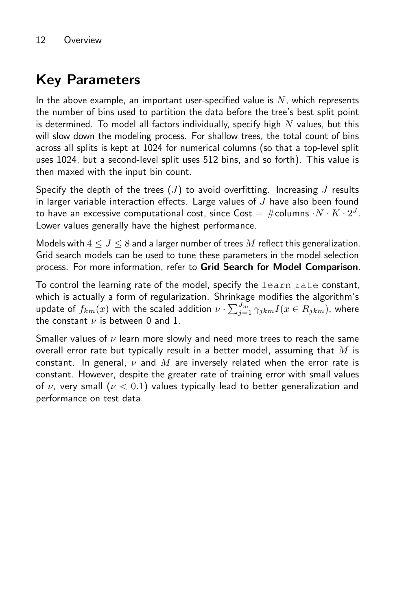## <span id="page-11-0"></span>Key Parameters

In the above example, an important user-specified value is  $N$ , which represents the number of bins used to partition the data before the tree's best split point is determined. To model all factors individually, specify high  $N$  values, but this will slow down the modeling process. For shallow trees, the total count of bins across all splits is kept at 1024 for numerical columns (so that a top-level split uses 1024, but a second-level split uses 512 bins, and so forth). This value is then maxed with the input bin count.

Specify the depth of the trees  $(J)$  to avoid overfitting. Increasing J results in larger variable interaction effects. Large values of  $J$  have also been found to have an excessive computational cost, since  $\mathsf{Cost} = \# \mathsf{columns} \cdot N \cdot K \cdot 2^J.$ Lower values generally have the highest performance.

Models with  $4 \leq J \leq 8$  and a larger number of trees M reflect this generalization. Grid search models can be used to tune these parameters in the model selection process. For more information, refer to [Grid Search for Model Comparison](#page-20-1).

To control the learning rate of the model, specify the learn rate constant, which is actually a form of regularization. Shrinkage modifies the algorithm's update of  $f_{km}(x)$  with the scaled addition  $\nu\cdot\sum_{j=1}^{J_m}\gamma_{jkm}I(x\in R_{jkm})$ , where the constant  $\nu$  is between 0 and 1.

Smaller values of  $\nu$  learn more slowly and need more trees to reach the same overall error rate but typically result in a better model, assuming that  $M$  is constant. In general,  $\nu$  and M are inversely related when the error rate is constant. However, despite the greater rate of training error with small values of  $\nu$ , very small ( $\nu < 0.1$ ) values typically lead to better generalization and performance on test data.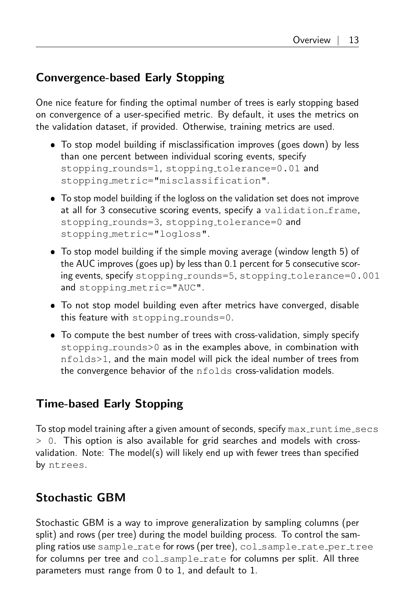### <span id="page-12-0"></span>Convergence-based Early Stopping

One nice feature for finding the optimal number of trees is early stopping based on convergence of a user-specified metric. By default, it uses the metrics on the validation dataset, if provided. Otherwise, training metrics are used.

- To stop model building if misclassification improves (goes down) by less than one percent between individual scoring events, specify stopping\_rounds=1, stopping\_tolerance=0.01 and stopping metric="misclassification".
- To stop model building if the logloss on the validation set does not improve at all for 3 consecutive scoring events, specify a validation frame, stopping\_rounds=3, stopping\_tolerance=0 and stopping metric="logloss".
- To stop model building if the simple moving average (window length 5) of the AUC improves (goes up) by less than 0.1 percent for 5 consecutive scoring events, specify stopping\_rounds=5, stopping\_tolerance=0.001 and stopping metric="AUC".
- To not stop model building even after metrics have converged, disable this feature with stopping\_rounds=0.
- To compute the best number of trees with cross-validation, simply specify stopping\_rounds>0 as in the examples above, in combination with nfolds>1, and the main model will pick the ideal number of trees from the convergence behavior of the nfolds cross-validation models.

### <span id="page-12-1"></span>Time-based Early Stopping

To stop model training after a given amount of seconds, specify  $\max$  runtime secs  $> 0$ . This option is also available for grid searches and models with crossvalidation. Note: The model(s) will likely end up with fewer trees than specified by ntrees.

### <span id="page-12-2"></span>Stochastic GBM

<span id="page-12-3"></span>Stochastic GBM is a way to improve generalization by sampling columns (per split) and rows (per tree) during the model building process. To control the sampling ratios use sample rate for rows (per tree), col sample rate per tree for columns per tree and col\_sample\_rate for columns per split. All three parameters must range from 0 to 1, and default to 1.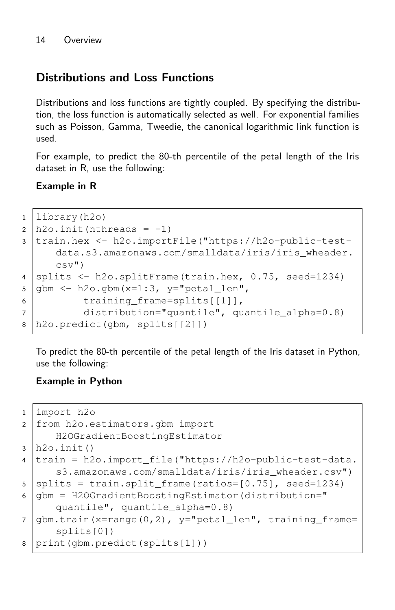### Distributions and Loss Functions

Distributions and loss functions are tightly coupled. By specifying the distribution, the loss function is automatically selected as well. For exponential families such as Poisson, Gamma, Tweedie, the canonical logarithmic link function is used.

For example, to predict the 80-th percentile of the petal length of the Iris dataset in R, use the following:

Example in R

```
1 library(h2o)
2 | h2o.init(nthreads = -1)3 train.hex <- h2o.importFile("https://h2o-public-test-
     data.s3.amazonaws.com/smalldata/iris/iris_wheader.
     csv")
4 splits < - h2o.splitFrame(train.hex, 0.75, seed=1234)5 g gbm <- h2o.gbm(x=1:3, y="petal_len",
6 training_frame=splits[[1]],
7 distribution="quantile", quantile_alpha=0.8)
8 h2o.predict(gbm, splits[[2]])
```
To predict the 80-th percentile of the petal length of the Iris dataset in Python, use the following:

```
1 import h2o
2 from h2o.estimators.gbm import
     H2OGradientBoostingEstimator
3 \ln 20. init()
4 train = h2o.import file("https://h2o-public-test-data.
     s3.amazonaws.com/smalldata/iris/iris_wheader.csv")
5 splits = train.split frame(ratios=[0.75], seed=1234)
6 \midgbm = H2OGradientBoostingEstimator(distribution="
     quantile", quantile_alpha=0.8)
7 \text{ gbm}.train(x=range(0,2), y="petal_len", training_frame=
      splits[0])
8 print(gbm.predict(splits[1]))
```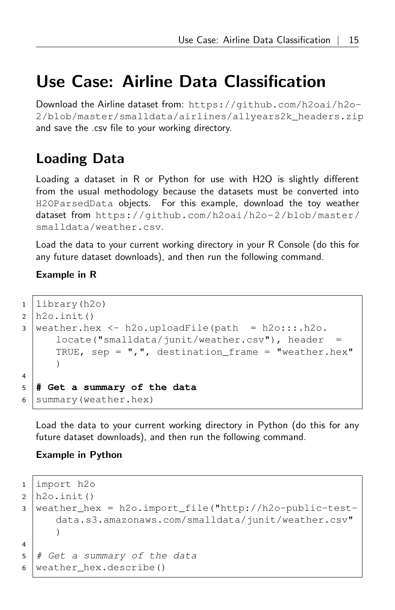## Use Case: Airline Data Classification

Download the Airline dataset from: [https://github.com/h2oai/h2o-](https://github.com/h2oai/h2o-2/blob/master/smalldata/airlines/allyears2k_headers.zip)[2/blob/master/smalldata/airlines/allyears2k\\_headers.zip](https://github.com/h2oai/h2o-2/blob/master/smalldata/airlines/allyears2k_headers.zip) and save the .csv file to your working directory.

## <span id="page-14-0"></span>Loading Data

Loading a dataset in R or Python for use with H2O is slightly different from the usual methodology because the datasets must be converted into H2OParsedData objects. For this example, download the toy weather dataset from [https://github.com/h2oai/h2o-2/blob/master/](https://github.com/h2oai/h2o-2/blob/master/smalldata/weather.csv) [smalldata/weather.csv](https://github.com/h2oai/h2o-2/blob/master/smalldata/weather.csv).

Load the data to your current working directory in your R Console (do this for any future dataset downloads), and then run the following command.

#### Example in R

```
1 library(h2o)
2 \mid h20. init ()
3 | weather.hex \leq h2o.uploadFile(path = h2o:::.h2o.
      locate("smalldata/junit/weather.csv"), header
      TRUE, sep = ",", destination_frame = "weather.hex"
      )
4
5 # Get a summary of the data
6 Summary (weather.hex)
```
Load the data to your current working directory in Python (do this for any future dataset downloads), and then run the following command.

```
1 import h2o
2 \mid h20 \ldotsinit()3 weather_hex = h2o.import_file("http://h2o-public-test-
      data.s3.amazonaws.com/smalldata/junit/weather.csv"
      \lambda4
5 \mid # Get a summary of the data
6 | weather hex.describe()
```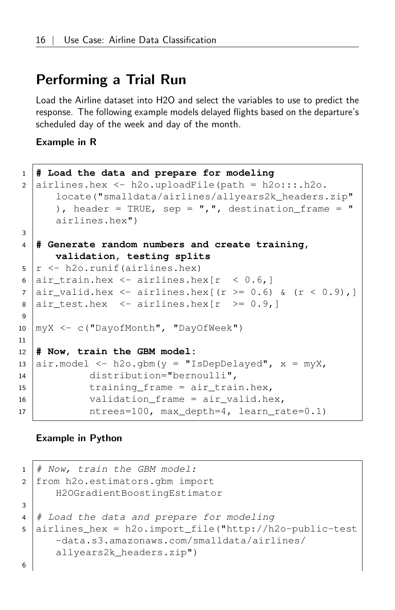### <span id="page-15-0"></span>Performing a Trial Run

Load the Airline dataset into H2O and select the variables to use to predict the response. The following example models delayed flights based on the departure's scheduled day of the week and day of the month.

#### Example in R

```
1 # Load the data and prepare for modeling
2 airlines.hex \le - h2o.uploadFile(path = h2o:::.h2o.
       locate("smalldata/airlines/allyears2k_headers.zip"
       ), header = TRUE, sep = ",", destination frame = "
       airlines.hex")
3
4 # Generate random numbers and create training,
       validation, testing splits
5 r < - h20.runif(airlines.hex)
6 air_train.hex \leq airlines.hex[r \leq 0.6, ]7 \left| \text{air\_valid.hex} \right| < \text{airlines.hex} (r >= 0.6) & (r < 0.9),]
8 \left| \text{air_test.hex} \right| \leftarrow \text{airlines.hex} \left[ \text{r} \right] \left. \right. \right. \geq 0.9,9
10 myX <- c("DayofMonth", "DayOfWeek")
11
12 # Now, train the GBM model:
13 air.model \leq h2o.gbm(y = "IsDepDelayed", x = myX,14 distribution="bernoulli",
15 training frame = air train.hex,
16 validation frame = air valid.hex,
17 ntrees=100, max_depth=4, learn_rate=0.1)
```

```
1 \mid # Now, train the GBM model:
2 from h2o.estimators.gbm import
     H2OGradientBoostingEstimator
3
4 \mid # Load the data and prepare for modeling
5 airlines_hex = h2o.import_file("http://h2o-public-test
     -data.s3.amazonaws.com/smalldata/airlines/
     allyears2k headers.zip")
6
```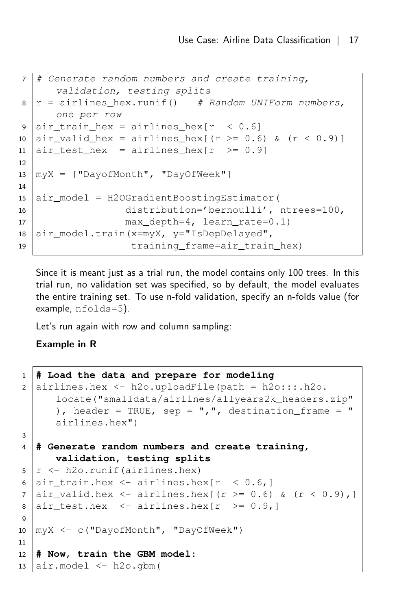```
7 \mid \text{\#} Generate random numbers and create training,
      validation, testing splits
8 \mid r = \text{airlines hex.runif()} # Random UNIForm numbers,
      one per row
9 air train hex = airlines hex r < 0.6]
10 air\_valid\_hex = airlines\_hex [(r >= 0.6) & (r < 0.9)]
11 air test hex = airlines hex[r \ge 0.9]12
13 \text{myX} = \text{['DayofMonth'}, \text{''DayOfWeek'']}14
15 air_model = H2OGradientBoostingEstimator(
16 distribution='bernoulli', ntrees=100,
17 | max_depth=4, learn_rate=0.1)
18 air_model.train(x=myX, y="IsDepDelayed",
19 training frame=air train hex)
```
Since it is meant just as a trial run, the model contains only 100 trees. In this trial run, no validation set was specified, so by default, the model evaluates the entire training set. To use n-fold validation, specify an n-folds value (for example, nfolds=5).

Let's run again with row and column sampling:

```
1 # Load the data and prepare for modeling
2 airlines.hex \le - h2o.uploadFile(path = h2o:::.h2o.
       locate("smalldata/airlines/allyears2k_headers.zip"
       ), header = TRUE, sep = ",", destination_frame = "
       airlines.hex")
3
4 # Generate random numbers and create training,
       validation, testing splits
5 \rightharpoonup \rightharpoonup h20.runif(airlines.hex)
6 air train.hex \leq airlines.hex[r \leq 0.6,]
7 \left[ \text{air\_valid.hex} \right] \leftarrow airlines.hex[(r >= 0.6) & (r < 0.9),]
8 air test.hex <- airlines.hexr \ge 0.9,]
9
10 myX <- c("DayofMonth", "DayOfWeek")
11
12 # Now, train the GBM model:
13 air_model \leftarrow h2o.qbm(
```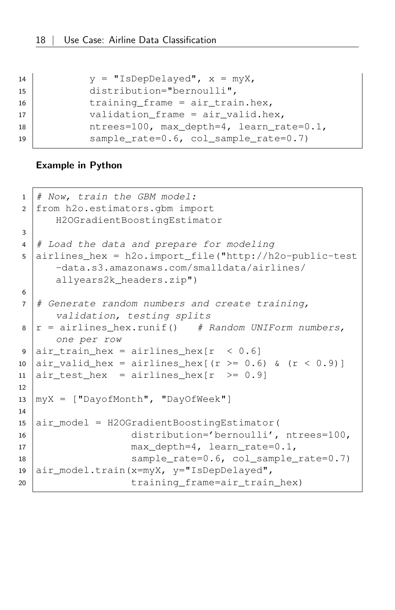| 14 | $y = "IsDepDelayed", x = myX,$                |
|----|-----------------------------------------------|
| 15 | $distribution="bernoulli",$                   |
| 16 | training frame = $air train.hex$ ,            |
| 17 | validation frame = $air$ valid.hex,           |
| 18 | ntrees=100, max_depth=4, learn_rate=0.1,      |
| 19 | sample rate= $0.6$ , col sample rate= $0.7$ ) |

```
1 \mid # Now, train the GBM model:
2 from h2o.estimators.gbm import
      H2OGradientBoostingEstimator
3
4 \mid # Load the data and prepare for modeling
5 airlines_hex = h2o.import_file("http://h2o-public-test
      -data.s3.amazonaws.com/smalldata/airlines/
      allyears2k_headers.zip")
6
7 \mid \# Generate random numbers and create training,
      validation, testing splits
8 \mid r = \text{airlines}\_\text{hex}.\text{runif()} # Random UNIForm numbers,
      one per row
9 \left| \text{air\_train\_hex} = \text{airlines\_hex} \left[ \text{r} \right. 0.6 \right]10 air\_valid\_hex = airlines\_hex [(r >= 0.6) & (r < 0.9)]
11 air_test\_hex = airlines\_hex[r > = 0.9]12
13 \text{myX} = \text{['DayofMonth'}, \text{''DayOfWeek'']}14
15 air_model = H2OGradientBoostingEstimator(
16 distribution='bernoulli', ntrees=100,
17 max depth=4, learn rate=0.1,
18 | sample_rate=0.6, col_sample_rate=0.7)
19 air_model.train(x=myX, y="IsDepDelayed",
20 training frame=air train hex)
```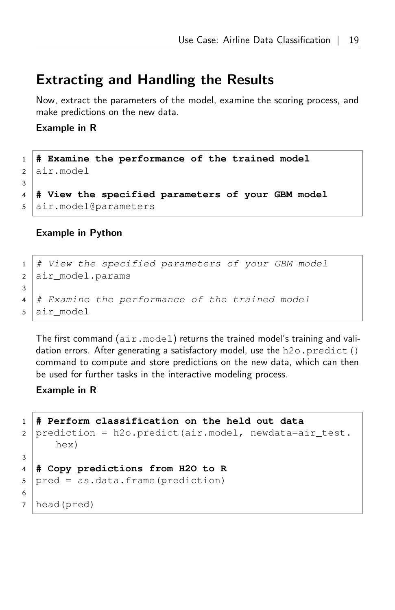### <span id="page-18-0"></span>Extracting and Handling the Results

Now, extract the parameters of the model, examine the scoring process, and make predictions on the new data.

#### Example in R

 **# Examine the performance of the trained model** air.model 3 **# View the specified parameters of your GBM model** air.model@parameters

#### Example in Python

```
1 # View the specified parameters of your GBM model
2 air model.params
3
4 # Examine the performance of the trained model
5 air_model
```
The first command  $(air.mode1)$  returns the trained model's training and validation errors. After generating a satisfactory model, use the  $h2o$ .  $predict()$ command to compute and store predictions on the new data, which can then be used for further tasks in the interactive modeling process.

```
1 # Perform classification on the held out data
2 prediction = h2o.predict(air.model, newdata=air test.
     hex)
3
4 # Copy predictions from H2O to R
5 | pred = as.data.frame(prediction)
6
7 head(pred)
```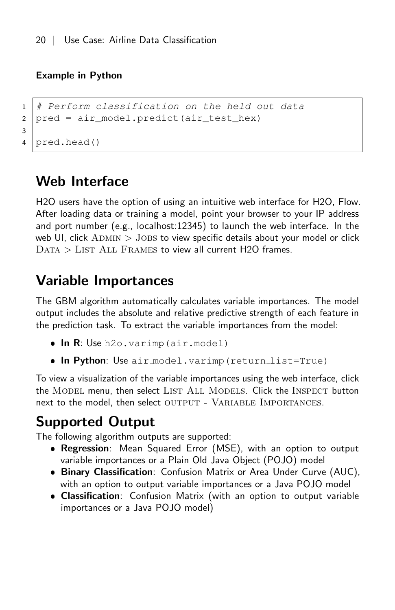#### Example in Python

```
1 # Perform classification on the held out data
2 pred = air_model.predict(air_test_hex)
3
4 pred.head()
```
## <span id="page-19-0"></span>Web Interface

H2O users have the option of using an intuitive web interface for H2O, Flow. After loading data or training a model, point your browser to your IP address and port number (e.g., localhost:12345) to launch the web interface. In the web UI, click  $A_{\text{DMIN}} >$  JOBS to view specific details about your model or click  $DATA > LIST ALL$  FRAMES to view all current H2O frames.

## <span id="page-19-1"></span>Variable Importances

The GBM algorithm automatically calculates variable importances. The model output includes the absolute and relative predictive strength of each feature in the prediction task. To extract the variable importances from the model:

- $\bullet$  In R: Use h2o.varimp (air.model)
- . In Python: Use air\_model.varimp(return\_list=True)

To view a visualization of the variable importances using the web interface, click the MODEL menu, then select LIST ALL MODELS. Click the INSPECT button next to the model, then select OUTPUT - VARIABLE IMPORTANCES.

## <span id="page-19-2"></span>Supported Output

The following algorithm outputs are supported:

- **Regression**: Mean Squared Error (MSE), with an option to output variable importances or a Plain Old Java Object (POJO) model
- **Binary Classification**: Confusion Matrix or Area Under Curve (AUC), with an option to output variable importances or a Java POJO model
- **Classification**: Confusion Matrix (with an option to output variable importances or a Java POJO model)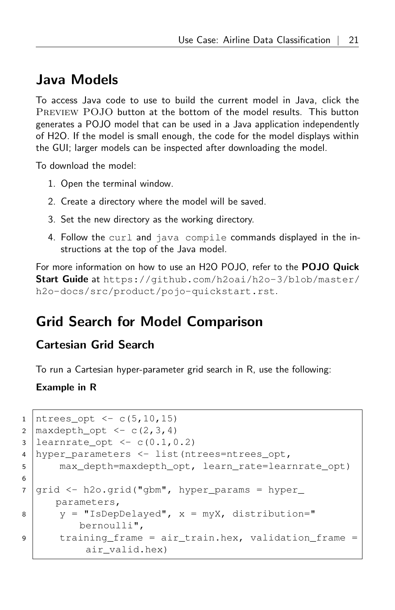### <span id="page-20-0"></span>Java Models

To access Java code to use to build the current model in Java, click the Preview POJO button at the bottom of the model results. This button generates a POJO model that can be used in a Java application independently of H2O. If the model is small enough, the code for the model displays within the GUI; larger models can be inspected after downloading the model.

To download the model:

- 1. Open the terminal window.
- 2. Create a directory where the model will be saved.
- 3. Set the new directory as the working directory.
- 4. Follow the curl and java compile commands displayed in the instructions at the top of the Java model.

For more information on how to use an H2O POJO, refer to the **POJO Quick** Start Guide at [https://github.com/h2oai/h2o-3/blob/master/](https://github.com/h2oai/h2o-3/blob/master/h2o-docs/src/product/pojo-quickstart.rst) [h2o-docs/src/product/pojo-quickstart.rst](https://github.com/h2oai/h2o-3/blob/master/h2o-docs/src/product/pojo-quickstart.rst).

## <span id="page-20-1"></span>Grid Search for Model Comparison

### <span id="page-20-2"></span>Cartesian Grid Search

To run a Cartesian hyper-parameter grid search in R, use the following:

```
1 | ntrees\_opt < -c(5, 10, 15)2 | maxdepth_opt \leq \leq (2, 3, 4)3 learnrate_opt <- c(0.1, 0.2)4 hyper parameters \leq list(ntrees=ntrees opt,
5 max_depth=maxdepth_opt, learn_rate=learnrate_opt)
6
7 grid <- h2o.grid("gbm", hyper_params = hyper_
     parameters,
8 y = "IsDepDelayed", x = m_yX, distribution="
          bernoulli",
9 training frame = air train.hex, validation frame =
           air_valid.hex)
```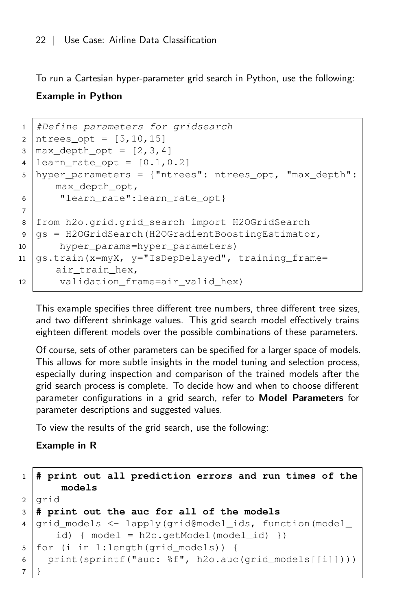To run a Cartesian hyper-parameter grid search in Python, use the following:

#### Example in Python

```
1 #Define parameters for gridsearch
2 | ntrees_opt = [5, 10, 15]3 \text{ max\_depth\_opt} = [2, 3, 4]4 | learn_rate_opt = [0.1, 0.2]5 hyper_parameters = {"ntrees": ntrees_opt, "max_depth":
      max_depth_opt,
6 | "learn rate":learn rate opt}
7
8 from h2o.grid.grid_search import H2OGridSearch
9 \text{ g} = H20GridSearch(H2OGradientBoostingEstimator,
10 hyper_params=hyper_parameters)
11 \sqrt{gs.train(x=myX, y=''IsDepDelayed'', training frame=air train hex,
12 validation_frame=air_valid_hex)
```
This example specifies three different tree numbers, three different tree sizes, and two different shrinkage values. This grid search model effectively trains eighteen different models over the possible combinations of these parameters.

Of course, sets of other parameters can be specified for a larger space of models. This allows for more subtle insights in the model tuning and selection process, especially during inspection and comparison of the trained models after the grid search process is complete. To decide how and when to choose different parameter configurations in a grid search, refer to [Model Parameters](#page-23-0) for parameter descriptions and suggested values.

To view the results of the grid search, use the following:

```
1 # print out all prediction errors and run times of the
      models
2 grid
3 # print out the auc for all of the models
4 qrid models \leq lapply(grid@model ids, function(model
      id) { model = h2o.getModel(model_id) })
5 for (i in 1:length(grid models)) {
6 print(sprintf("auc: %f", h2o.auc(grid_models[[i]])))
\overline{7}
```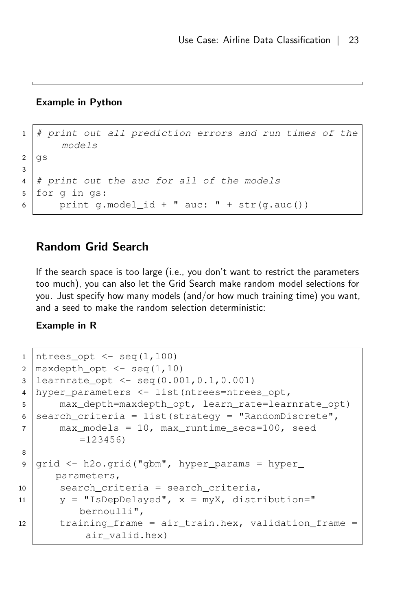#### Example in Python

```
1 \mid \# print out all prediction errors and run times of the
      models
2 | gs3
4 \mid # print out the auc for all of the models
5 for g in gs:
6 print g.model_id + " auc: " + str(g.auc())
```
### <span id="page-22-0"></span>Random Grid Search

If the search space is too large (i.e., you don't want to restrict the parameters too much), you can also let the Grid Search make random model selections for you. Just specify how many models (and/or how much training time) you want, and a seed to make the random selection deterministic:

```
1 | ntrees opt \leq seq(1,100)
2 \mid \text{maxdepth\_opt} \leq - \text{seq}(1,10)3 learnrate_opt <- seq(0.001,0.1,0.001)
4 hyper_parameters <- list(ntrees=ntrees_opt,
5 max_depth=maxdepth_opt, learn_rate=learnrate_opt)
6 search criteria = list(strategy = "RandomDiscrete",
7 max_models = 10, max_runtime_secs=100, seed
          =1234568
9 \mid grid \leq h2o.getd("gbm", hyperparams = hyper_parameters,
10 search_criteria = search_criteria,
11 | y = "IsDepDelayed", x = myX, distribution = "bernoulli",
12 training frame = air train.hex, validation frame =
           air_valid.hex)
```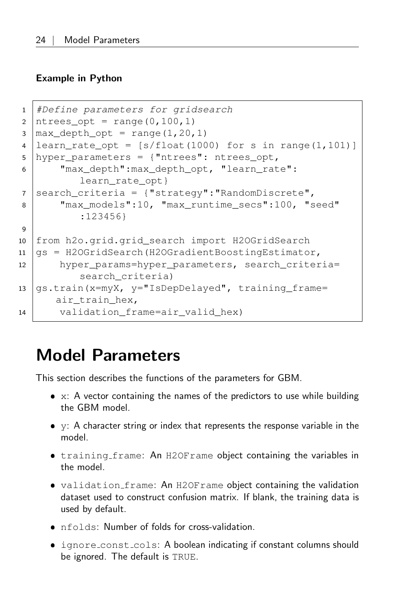#### Example in Python

```
1 #Define parameters for gridsearch
2 | ntrees opt = range(0,100,1)
3 | max depth opt = range(1,20,1)
4 | learn rate opt = [s/float(1000) for s in range(1,101)]5 hyper_parameters = {"ntrees": ntrees_opt,
6 Whax depth":max depth opt, "learn rate":
          learn rate opt}
7 search criteria = {"strategy":"RandomDiscrete",
8 "max_models":10, "max_runtime_secs":100, "seed"
          :123456}
9
10 from h2o.grid.grid_search import H2OGridSearch
11 \mid \text{qs} = \text{H2OGridSearch}(H2OGradientBoostingEstimator,
12 hyper_params=hyper_parameters, search_criteria=
          search criteria)
13 gs.train(x=myX, y="IsDepDelayed", training_frame=
      air train hex,
14 validation frame=air valid hex)
```
# <span id="page-23-0"></span>Model Parameters

This section describes the functions of the parameters for GBM.

- $\bullet$  x: A vector containing the names of the predictors to use while building the GBM model.
- y: A character string or index that represents the response variable in the model.
- training frame: An H2OFrame object containing the variables in the model.
- validation frame: An H2OFrame object containing the validation dataset used to construct confusion matrix. If blank, the training data is used by default.
- nfolds: Number of folds for cross-validation.
- ignore\_const\_cols: A boolean indicating if constant columns should be ignored. The default is TRUE.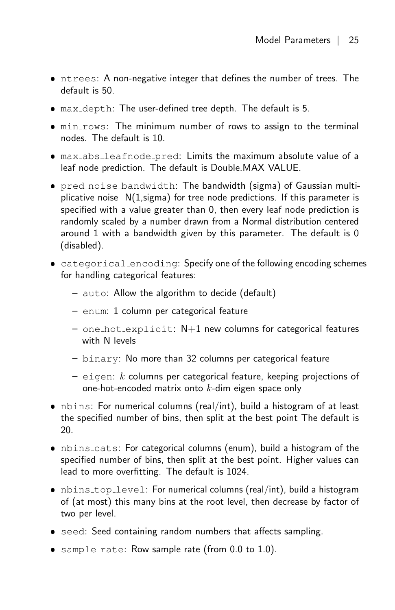- ntrees: A non-negative integer that defines the number of trees. The default is 50.
- max depth: The user-defined tree depth. The default is 5.
- $\bullet$  min\_rows: The minimum number of rows to assign to the terminal nodes. The default is 10.
- max abs leafnode pred: Limits the maximum absolute value of a leaf node prediction. The default is Double.MAX VALUE.
- pred noise bandwidth: The bandwidth (sigma) of Gaussian multiplicative noise  $N(1, \text{sigma})$  for tree node predictions. If this parameter is specified with a value greater than 0, then every leaf node prediction is randomly scaled by a number drawn from a Normal distribution centered around 1 with a bandwidth given by this parameter. The default is 0 (disabled).
- categorical encoding: Specify one of the following encoding schemes for handling categorical features:
	- auto: Allow the algorithm to decide (default)
	- enum: 1 column per categorical feature
	- $-$  one hot explicit:  $N+1$  new columns for categorical features with N levels
	- binary: No more than 32 columns per categorical feature
	- $-$  eigen: k columns per categorical feature, keeping projections of one-hot-encoded matrix onto  $k$ -dim eigen space only
- nbins: For numerical columns (real/int), build a histogram of at least the specified number of bins, then split at the best point The default is 20.
- nbins cats: For categorical columns (enum), build a histogram of the specified number of bins, then split at the best point. Higher values can lead to more overfitting. The default is 1024.
- nbins top level: For numerical columns (real/int), build a histogram of (at most) this many bins at the root level, then decrease by factor of two per level.
- seed: Seed containing random numbers that affects sampling.
- $\bullet$  sample rate: Row sample rate (from 0.0 to 1.0).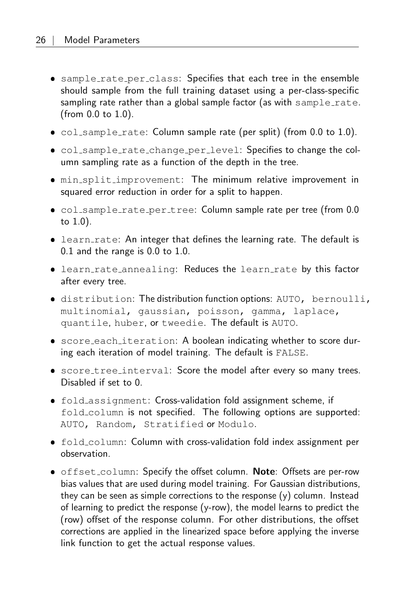- sample\_rate\_per\_class: Specifies that each tree in the ensemble should sample from the full training dataset using a per-class-specific sampling rate rather than a global sample factor (as with  $sample_rate$ . (from 0.0 to 1.0).
- $\bullet$  col\_sample\_rate: Column sample rate (per split) (from 0.0 to 1.0).
- col sample rate change per level: Specifies to change the column sampling rate as a function of the depth in the tree.
- min split improvement: The minimum relative improvement in squared error reduction in order for a split to happen.
- col sample rate per tree: Column sample rate per tree (from 0.0 to 1.0).
- learn rate: An integer that defines the learning rate. The default is 0.1 and the range is 0.0 to 1.0.
- learn\_rate\_annealing: Reduces the learn\_rate by this factor after every tree.
- distribution: The distribution function options: AUTO, bernoulli, multinomial, gaussian, poisson, gamma, laplace, quantile, huber, or tweedie. The default is AUTO.
- score each iteration: A boolean indicating whether to score during each iteration of model training. The default is FALSE.
- score tree interval: Score the model after every so many trees. Disabled if set to 0.
- fold assignment: Cross-validation fold assignment scheme, if fold\_column is not specified. The following options are supported: AUTO, Random, Stratified or Modulo.
- fold column: Column with cross-validation fold index assignment per observation.
- offset\_column: Specify the offset column. Note: Offsets are per-row bias values that are used during model training. For Gaussian distributions, they can be seen as simple corrections to the response (y) column. Instead of learning to predict the response (y-row), the model learns to predict the (row) offset of the response column. For other distributions, the offset corrections are applied in the linearized space before applying the inverse link function to get the actual response values.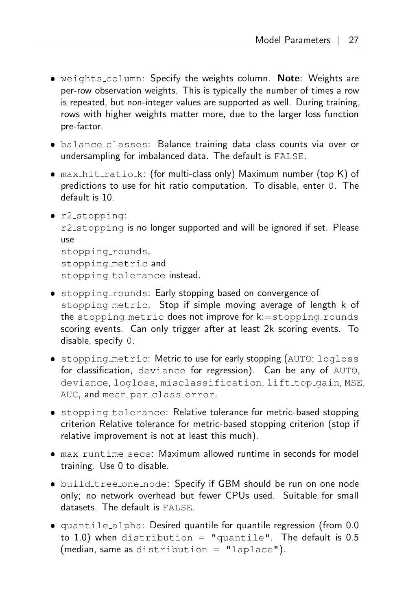- weights column: Specify the weights column. Note: Weights are per-row observation weights. This is typically the number of times a row is repeated, but non-integer values are supported as well. During training, rows with higher weights matter more, due to the larger loss function pre-factor.
- **•** balance\_classes: Balance training data class counts via over or undersampling for imbalanced data. The default is FALSE.
- max\_hit\_ratio\_k: (for multi-class only) Maximum number (top K) of predictions to use for hit ratio computation. To disable, enter 0. The default is 10.
- r2 stopping: r2\_stopping is no longer supported and will be ignored if set. Please use stopping\_rounds, stopping metric and

stopping\_tolerance instead.

- stopping rounds: Early stopping based on convergence of stopping metric. Stop if simple moving average of length k of the stopping metric does not improve for  $k:=$ stopping rounds scoring events. Can only trigger after at least 2k scoring events. To disable, specify 0.
- **•** stopping metric: Metric to use for early stopping (AUTO: logloss for classification, deviance for regression). Can be any of AUTO, deviance, logloss, misclassification, lift top gain, MSE, AUC, and mean\_per\_class\_error.
- **•** stopping\_tolerance: Relative tolerance for metric-based stopping criterion Relative tolerance for metric-based stopping criterion (stop if relative improvement is not at least this much).
- max runtime secs: Maximum allowed runtime in seconds for model training. Use 0 to disable.
- build\_tree\_one\_node: Specify if GBM should be run on one node only; no network overhead but fewer CPUs used. Suitable for small datasets. The default is FALSE.
- quantile alpha: Desired quantile for quantile regression (from 0.0 to 1.0) when distribution = "quantile". The default is  $0.5$ (median, same as distribution = "laplace").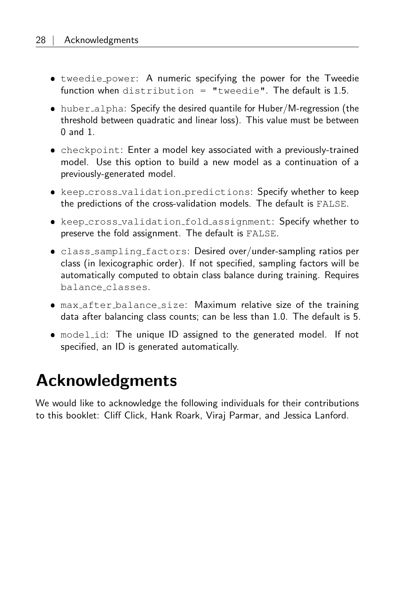- tweedie power: A numeric specifying the power for the Tweedie function when distribution = "tweedie". The default is 1.5.
- huber\_alpha: Specify the desired quantile for Huber/M-regression (the threshold between quadratic and linear loss). This value must be between 0 and 1.
- checkpoint: Enter a model key associated with a previously-trained model. Use this option to build a new model as a continuation of a previously-generated model.
- keep cross validation predictions: Specify whether to keep the predictions of the cross-validation models. The default is FALSE.
- keep cross validation fold assignment: Specify whether to preserve the fold assignment. The default is FALSE.
- class sampling factors: Desired over/under-sampling ratios per class (in lexicographic order). If not specified, sampling factors will be automatically computed to obtain class balance during training. Requires balance classes.
- max after balance size: Maximum relative size of the training data after balancing class counts; can be less than 1.0. The default is 5.
- model id: The unique ID assigned to the generated model. If not specified, an ID is generated automatically.

# <span id="page-27-0"></span>Acknowledgments

We would like to acknowledge the following individuals for their contributions to this booklet: Cliff Click, Hank Roark, Viraj Parmar, and Jessica Lanford.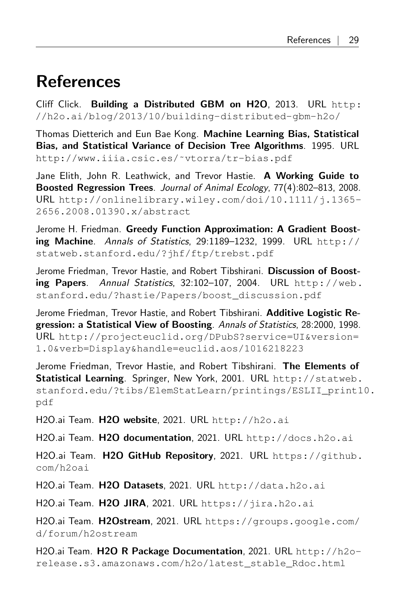# <span id="page-28-0"></span>References

Cliff Click. Building a Distributed GBM on H2O, 2013. URL [http:](http://h2o.ai/blog/2013/10/building-distributed-gbm-h2o/) [//h2o.ai/blog/2013/10/building-distributed-gbm-h2o/](http://h2o.ai/blog/2013/10/building-distributed-gbm-h2o/)

Thomas Dietterich and Eun Bae Kong. Machine Learning Bias, Statistical Bias, and Statistical Variance of Decision Tree Algorithms. 1995. URL [http://www.iiia.csic.es/˜vtorra/tr-bias.pdf](http://www.iiia.csic.es/~vtorra/tr-bias.pdf)

Jane Elith, John R. Leathwick, and Trevor Hastie. A Working Guide to Boosted Regression Trees. Journal of Animal Ecology, 77(4):802–813, 2008. URL [http://onlinelibrary.wiley.com/doi/10.1111/j.1365-](http://onlinelibrary.wiley.com/doi/10.1111/j.1365-2656.2008.01390.x/abstract) [2656.2008.01390.x/abstract](http://onlinelibrary.wiley.com/doi/10.1111/j.1365-2656.2008.01390.x/abstract)

Jerome H. Friedman. Greedy Function Approximation: A Gradient Boosting Machine. Annals of Statistics, 29:1189-1232, 1999. URL [http://](http://statweb.stanford.edu/?jhf/ftp/trebst.pdf) [statweb.stanford.edu/?jhf/ftp/trebst.pdf](http://statweb.stanford.edu/?jhf/ftp/trebst.pdf)

Jerome Friedman, Trevor Hastie, and Robert Tibshirani. Discussion of Boosting Papers. Annual Statistics, 32:102–107, 2004. URL [http://web.](http://web.stanford.edu/?hastie/Papers/boost_discussion.pdf) [stanford.edu/?hastie/Papers/boost\\_discussion.pdf](http://web.stanford.edu/?hastie/Papers/boost_discussion.pdf)

Jerome Friedman, Trevor Hastie, and Robert Tibshirani. Additive Logistic Regression: a Statistical View of Boosting. Annals of Statistics, 28:2000, 1998. URL [http://projecteuclid.org/DPubS?service=UI&version=](http://projecteuclid.org/DPubS?service=UI&version=1.0&verb=Display&handle= euclid.aos/1016218223) [1.0&verb=Display&handle=euclid.aos/1016218223](http://projecteuclid.org/DPubS?service=UI&version=1.0&verb=Display&handle= euclid.aos/1016218223)

Jerome Friedman, Trevor Hastie, and Robert Tibshirani. The Elements of Statistical Learning. Springer, New York, 2001. URL [http://statweb.](http://statweb.stanford.edu/?tibs/ElemStatLearn/printings/ESLII_print10.pdf) [stanford.edu/?tibs/ElemStatLearn/printings/ESLII\\_print1](http://statweb.stanford.edu/?tibs/ElemStatLearn/printings/ESLII_print10.pdf)0. [pdf](http://statweb.stanford.edu/?tibs/ElemStatLearn/printings/ESLII_print10.pdf)

H2O.ai Team. H2O website, 2021. URL <http://h2o.ai>

H2O.ai Team. H2O documentation, 2021. URL <http://docs.h2o.ai>

H2O.ai Team. H2O GitHub Repository, 2021. URL [https://github.](https://github.com/h2oai) [com/h2oai](https://github.com/h2oai)

H2O.ai Team. H2O Datasets, 2021. URL <http://data.h2o.ai>

H2O.ai Team. H2O JIRA, 2021. URL <https://jira.h2o.ai>

H2O.ai Team. H2Ostream, 2021. URL [https://groups.google.com/](https://groups.google.com/d/forum/h2ostream) [d/forum/h2ostream](https://groups.google.com/d/forum/h2ostream)

H2O.ai Team. **H2O R Package Documentation**, 2021. URL  $h$ ttp:// $h$ 20[release.s3.amazonaws.com/h2o/latest\\_stable\\_Rdoc.html](http://h2o-release.s3.amazonaws.com/h2o/latest_stable_Rdoc.html)